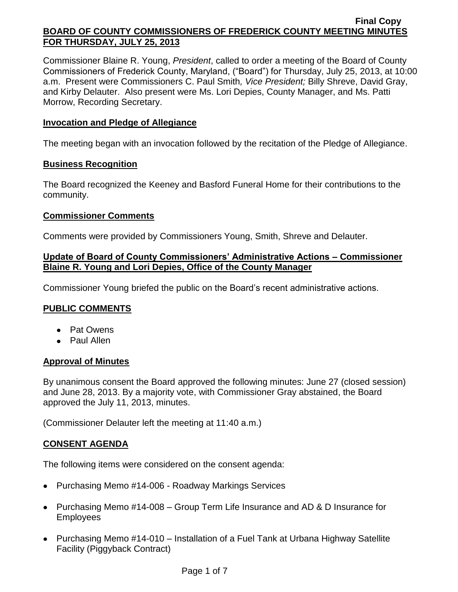Commissioner Blaine R. Young, *President*, called to order a meeting of the Board of County Commissioners of Frederick County, Maryland, ("Board") for Thursday, July 25, 2013, at 10:00 a.m. Present were Commissioners C. Paul Smith*, Vice President;* Billy Shreve, David Gray, and Kirby Delauter. Also present were Ms. Lori Depies, County Manager, and Ms. Patti Morrow, Recording Secretary.

## **Invocation and Pledge of Allegiance**

The meeting began with an invocation followed by the recitation of the Pledge of Allegiance.

## **Business Recognition**

The Board recognized the Keeney and Basford Funeral Home for their contributions to the community.

# **Commissioner Comments**

Comments were provided by Commissioners Young, Smith, Shreve and Delauter.

## **Update of Board of County Commissioners' Administrative Actions – Commissioner Blaine R. Young and Lori Depies, Office of the County Manager**

Commissioner Young briefed the public on the Board's recent administrative actions.

# **PUBLIC COMMENTS**

- Pat Owens
- Paul Allen

## **Approval of Minutes**

By unanimous consent the Board approved the following minutes: June 27 (closed session) and June 28, 2013. By a majority vote, with Commissioner Gray abstained, the Board approved the July 11, 2013, minutes.

(Commissioner Delauter left the meeting at 11:40 a.m.)

# **CONSENT AGENDA**

The following items were considered on the consent agenda:

- Purchasing Memo #14-006 Roadway Markings Services
- Purchasing Memo #14-008 Group Term Life Insurance and AD & D Insurance for Employees
- Purchasing Memo #14-010 Installation of a Fuel Tank at Urbana Highway Satellite Facility (Piggyback Contract)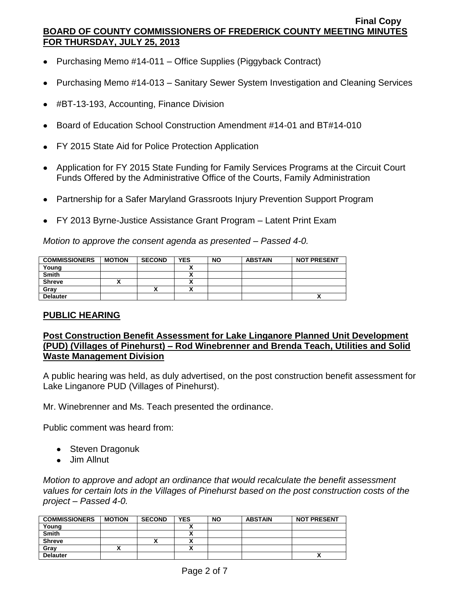- Purchasing Memo #14-011 Office Supplies (Piggyback Contract)
- Purchasing Memo #14-013 Sanitary Sewer System Investigation and Cleaning Services
- #BT-13-193, Accounting, Finance Division
- Board of Education School Construction Amendment #14-01 and BT#14-010
- FY 2015 State Aid for Police Protection Application
- Application for FY 2015 State Funding for Family Services Programs at the Circuit Court Funds Offered by the Administrative Office of the Courts, Family Administration
- Partnership for a Safer Maryland Grassroots Injury Prevention Support Program
- FY 2013 Byrne-Justice Assistance Grant Program Latent Print Exam

*Motion to approve the consent agenda as presented – Passed 4-0.*

| <b>COMMISSIONERS</b> | <b>MOTION</b> | <b>SECOND</b> | <b>YES</b> | <b>NO</b> | <b>ABSTAIN</b> | <b>NOT PRESENT</b> |
|----------------------|---------------|---------------|------------|-----------|----------------|--------------------|
| Young                |               |               |            |           |                |                    |
| <b>Smith</b>         |               |               |            |           |                |                    |
| <b>Shreve</b>        |               |               |            |           |                |                    |
| Grav                 |               |               |            |           |                |                    |
| <b>Delauter</b>      |               |               |            |           |                | Λ                  |

## **PUBLIC HEARING**

# **Post Construction Benefit Assessment for Lake Linganore Planned Unit Development (PUD) (Villages of Pinehurst) – Rod Winebrenner and Brenda Teach, Utilities and Solid Waste Management Division**

A public hearing was held, as duly advertised, on the post construction benefit assessment for Lake Linganore PUD (Villages of Pinehurst).

Mr. Winebrenner and Ms. Teach presented the ordinance.

Public comment was heard from:

- Steven Dragonuk
- Jim Allnut

*Motion to approve and adopt an ordinance that would recalculate the benefit assessment values for certain lots in the Villages of Pinehurst based on the post construction costs of the project – Passed 4-0.*

| <b>COMMISSIONERS</b> | <b>MOTION</b> | <b>SECOND</b> | <b>YES</b>               | <b>NO</b> | <b>ABSTAIN</b> | <b>NOT PRESENT</b> |
|----------------------|---------------|---------------|--------------------------|-----------|----------------|--------------------|
| Young                |               |               |                          |           |                |                    |
| <b>Smith</b>         |               |               |                          |           |                |                    |
| <b>Shreve</b>        |               | ^             | $\overline{\phantom{a}}$ |           |                |                    |
| Gray                 |               |               |                          |           |                |                    |
| <b>Delauter</b>      |               |               |                          |           |                |                    |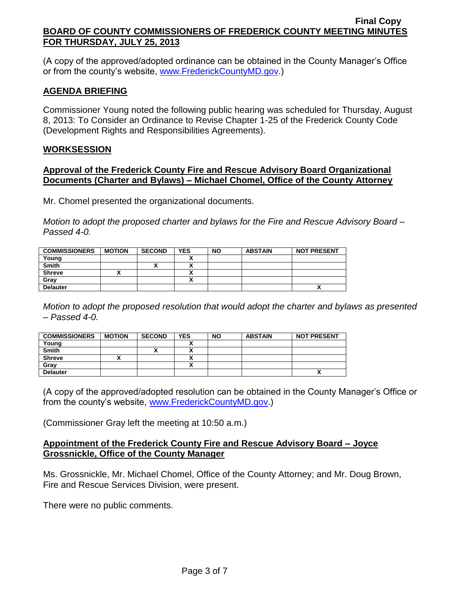(A copy of the approved/adopted ordinance can be obtained in the County Manager's Office or from the county's website, [www.FrederickCountyMD.gov.](http://www.frederickcountymd.gov/))

## **AGENDA BRIEFING**

Commissioner Young noted the following public hearing was scheduled for Thursday, August 8, 2013: To Consider an Ordinance to Revise Chapter 1-25 of the Frederick County Code (Development Rights and Responsibilities Agreements).

## **WORKSESSION**

### **Approval of the Frederick County Fire and Rescue Advisory Board Organizational Documents (Charter and Bylaws) – Michael Chomel, Office of the County Attorney**

Mr. Chomel presented the organizational documents.

*Motion to adopt the proposed charter and bylaws for the Fire and Rescue Advisory Board – Passed 4-0.*

| <b>COMMISSIONERS</b> | <b>MOTION</b> | <b>SECOND</b> | <b>YES</b> | <b>NO</b> | <b>ABSTAIN</b> | <b>NOT PRESENT</b> |
|----------------------|---------------|---------------|------------|-----------|----------------|--------------------|
| Young                |               |               |            |           |                |                    |
| <b>Smith</b>         |               |               |            |           |                |                    |
| <b>Shreve</b>        |               |               | ,,         |           |                |                    |
| Gray                 |               |               |            |           |                |                    |
| <b>Delauter</b>      |               |               |            |           |                | Λ                  |

*Motion to adopt the proposed resolution that would adopt the charter and bylaws as presented – Passed 4-0.*

| <b>COMMISSIONERS</b> | <b>MOTION</b> | <b>SECOND</b> | <b>YES</b> | <b>NO</b> | <b>ABSTAIN</b> | <b>NOT PRESENT</b> |
|----------------------|---------------|---------------|------------|-----------|----------------|--------------------|
| Young                |               |               |            |           |                |                    |
| <b>Smith</b>         |               |               |            |           |                |                    |
| <b>Shreve</b>        |               |               |            |           |                |                    |
| Grav                 |               |               |            |           |                |                    |
| <b>Delauter</b>      |               |               |            |           |                |                    |

(A copy of the approved/adopted resolution can be obtained in the County Manager's Office or from the county's website, [www.FrederickCountyMD.gov.](http://www.frederickcountymd.gov/))

(Commissioner Gray left the meeting at 10:50 a.m.)

## **Appointment of the Frederick County Fire and Rescue Advisory Board – Joyce Grossnickle, Office of the County Manager**

Ms. Grossnickle, Mr. Michael Chomel, Office of the County Attorney; and Mr. Doug Brown, Fire and Rescue Services Division, were present.

There were no public comments.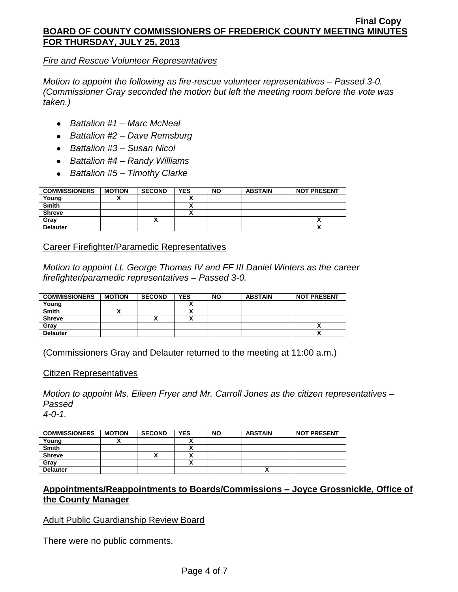### *Fire and Rescue Volunteer Representatives*

*Motion to appoint the following as fire-rescue volunteer representatives – Passed 3-0. (Commissioner Gray seconded the motion but left the meeting room before the vote was taken.)*

- *Battalion #1 – Marc McNeal*
- *Battalion #2 – Dave Remsburg*
- *Battalion #3 – Susan Nicol*
- *Battalion #4 – Randy Williams*
- *Battalion #5 – Timothy Clarke*

| <b>COMMISSIONERS</b> | <b>MOTION</b> | <b>SECOND</b> | <b>YES</b> | <b>NO</b> | <b>ABSTAIN</b> | <b>NOT PRESENT</b> |
|----------------------|---------------|---------------|------------|-----------|----------------|--------------------|
| Young                |               |               |            |           |                |                    |
| <b>Smith</b>         |               |               |            |           |                |                    |
| <b>Shreve</b>        |               |               |            |           |                |                    |
| Grav                 |               | Λ             |            |           |                |                    |
| <b>Delauter</b>      |               |               |            |           |                | Λ                  |

Career Firefighter/Paramedic Representatives

*Motion to appoint Lt. George Thomas IV and FF III Daniel Winters as the career firefighter/paramedic representatives – Passed 3-0.*

| <b>COMMISSIONERS</b> | <b>MOTION</b> | <b>SECOND</b> | <b>YES</b> | <b>NO</b> | <b>ABSTAIN</b> | <b>NOT PRESENT</b> |
|----------------------|---------------|---------------|------------|-----------|----------------|--------------------|
| Young                |               |               |            |           |                |                    |
| <b>Smith</b>         |               |               |            |           |                |                    |
| <b>Shreve</b>        |               | "             |            |           |                |                    |
| Gray                 |               |               |            |           |                | Λ                  |
| <b>Delauter</b>      |               |               |            |           |                | Λ                  |

(Commissioners Gray and Delauter returned to the meeting at 11:00 a.m.)

## Citizen Representatives

*Motion to appoint Ms. Eileen Fryer and Mr. Carroll Jones as the citizen representatives – Passed 4-0-1.*

| <b>COMMISSIONERS</b> | <b>MOTION</b> | <b>SECOND</b> | <b>YES</b> | <b>NO</b> | <b>ABSTAIN</b> | <b>NOT PRESENT</b> |
|----------------------|---------------|---------------|------------|-----------|----------------|--------------------|
| Young                |               |               |            |           |                |                    |
| <b>Smith</b>         |               |               | ^          |           |                |                    |
| <b>Shreve</b>        |               | ~             | ^          |           |                |                    |
| Gray                 |               |               | Λ          |           |                |                    |
| <b>Delauter</b>      |               |               |            |           |                |                    |

# **Appointments/Reappointments to Boards/Commissions – Joyce Grossnickle, Office of the County Manager**

## Adult Public Guardianship Review Board

There were no public comments.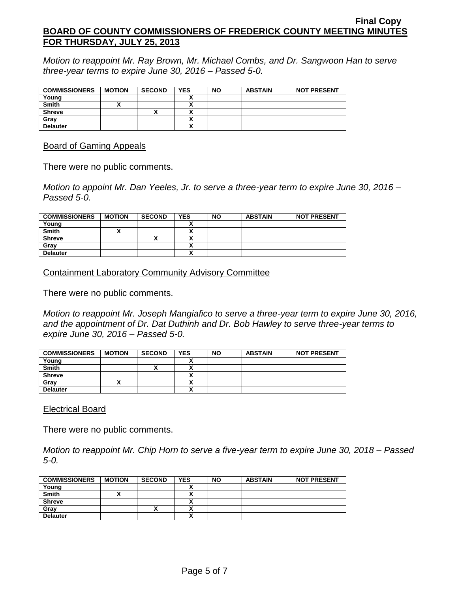*Motion to reappoint Mr. Ray Brown, Mr. Michael Combs, and Dr. Sangwoon Han to serve three-year terms to expire June 30, 2016 – Passed 5-0.*

| <b>COMMISSIONERS</b> | <b>MOTION</b> | <b>SECOND</b> | <b>YES</b>               | <b>NO</b> | <b>ABSTAIN</b> | <b>NOT PRESENT</b> |
|----------------------|---------------|---------------|--------------------------|-----------|----------------|--------------------|
| Young                |               |               |                          |           |                |                    |
| <b>Smith</b>         |               |               |                          |           |                |                    |
| <b>Shreve</b>        |               |               | v                        |           |                |                    |
| Gray                 |               |               | Λ                        |           |                |                    |
| <b>Delauter</b>      |               |               | $\overline{\phantom{a}}$ |           |                |                    |

Board of Gaming Appeals

There were no public comments.

*Motion to appoint Mr. Dan Yeeles, Jr. to serve a three-year term to expire June 30, 2016 – Passed 5-0.*

| <b>COMMISSIONERS</b> | <b>MOTION</b> | <b>SECOND</b> | <b>YES</b> | <b>NO</b> | <b>ABSTAIN</b> | <b>NOT PRESENT</b> |
|----------------------|---------------|---------------|------------|-----------|----------------|--------------------|
| Young                |               |               |            |           |                |                    |
| <b>Smith</b>         |               |               | A          |           |                |                    |
| <b>Shreve</b>        |               |               | ~          |           |                |                    |
| Gray                 |               |               | ~          |           |                |                    |
| <b>Delauter</b>      |               |               | Δ          |           |                |                    |

Containment Laboratory Community Advisory Committee

There were no public comments.

*Motion to reappoint Mr. Joseph Mangiafico to serve a three-year term to expire June 30, 2016, and the appointment of Dr. Dat Duthinh and Dr. Bob Hawley to serve three-year terms to expire June 30, 2016 – Passed 5-0.*

| <b>COMMISSIONERS</b> | <b>MOTION</b> | <b>SECOND</b> | <b>YES</b> | <b>NO</b> | <b>ABSTAIN</b> | <b>NOT PRESENT</b> |
|----------------------|---------------|---------------|------------|-----------|----------------|--------------------|
| Young                |               |               |            |           |                |                    |
| <b>Smith</b>         |               | "             |            |           |                |                    |
| <b>Shreve</b>        |               |               | ,,         |           |                |                    |
| Gray                 |               |               |            |           |                |                    |
| <b>Delauter</b>      |               |               | Δ          |           |                |                    |

## Electrical Board

There were no public comments.

*Motion to reappoint Mr. Chip Horn to serve a five-year term to expire June 30, 2018 – Passed 5-0.*

| <b>COMMISSIONERS</b> | <b>MOTION</b> | <b>SECOND</b> | <b>YES</b> | <b>NO</b> | <b>ABSTAIN</b> | <b>NOT PRESENT</b> |
|----------------------|---------------|---------------|------------|-----------|----------------|--------------------|
| Young                |               |               |            |           |                |                    |
| <b>Smith</b>         |               |               | n          |           |                |                    |
| <b>Shreve</b>        |               |               | ,,,        |           |                |                    |
| Grav                 |               | "             | ,,,        |           |                |                    |
| <b>Delauter</b>      |               |               |            |           |                |                    |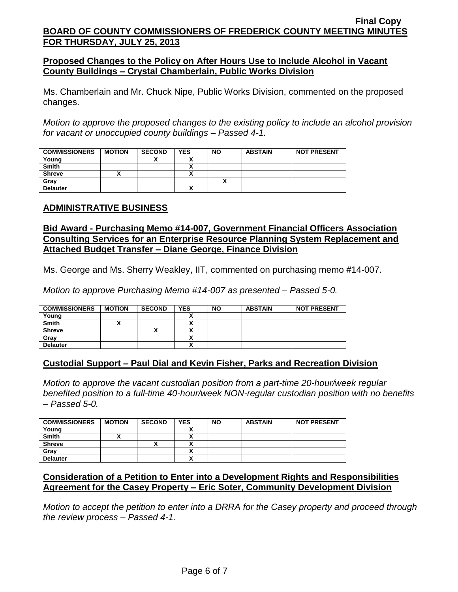## **Proposed Changes to the Policy on After Hours Use to Include Alcohol in Vacant County Buildings – Crystal Chamberlain, Public Works Division**

Ms. Chamberlain and Mr. Chuck Nipe, Public Works Division, commented on the proposed changes.

*Motion to approve the proposed changes to the existing policy to include an alcohol provision for vacant or unoccupied county buildings – Passed 4-1.*

| <b>COMMISSIONERS</b> | <b>MOTION</b> | <b>SECOND</b> | <b>YES</b> | <b>NO</b> | <b>ABSTAIN</b> | <b>NOT PRESENT</b> |
|----------------------|---------------|---------------|------------|-----------|----------------|--------------------|
| Young                |               |               |            |           |                |                    |
| <b>Smith</b>         |               |               |            |           |                |                    |
| <b>Shreve</b>        |               |               |            |           |                |                    |
| Gray                 |               |               |            |           |                |                    |
| <b>Delauter</b>      |               |               |            |           |                |                    |

# **ADMINISTRATIVE BUSINESS**

## **Bid Award - Purchasing Memo #14-007, Government Financial Officers Association Consulting Services for an Enterprise Resource Planning System Replacement and Attached Budget Transfer – Diane George, Finance Division**

Ms. George and Ms. Sherry Weakley, IIT, commented on purchasing memo #14-007.

*Motion to approve Purchasing Memo #14-007 as presented – Passed 5-0.*

| <b>COMMISSIONERS</b> | <b>MOTION</b> | <b>SECOND</b> | <b>YES</b> | <b>NO</b> | <b>ABSTAIN</b> | <b>NOT PRESENT</b> |
|----------------------|---------------|---------------|------------|-----------|----------------|--------------------|
| Young                |               |               |            |           |                |                    |
| <b>Smith</b>         |               |               | Δ          |           |                |                    |
| <b>Shreve</b>        |               |               |            |           |                |                    |
| Grav                 |               |               | ٠.         |           |                |                    |
| <b>Delauter</b>      |               |               | v<br>^     |           |                |                    |

## **Custodial Support – Paul Dial and Kevin Fisher, Parks and Recreation Division**

*Motion to approve the vacant custodian position from a part-time 20-hour/week regular benefited position to a full-time 40-hour/week NON-regular custodian position with no benefits – Passed 5-0.*

| <b>COMMISSIONERS</b> | <b>MOTION</b> | <b>SECOND</b> | <b>YES</b> | <b>NO</b> | <b>ABSTAIN</b> | <b>NOT PRESENT</b> |
|----------------------|---------------|---------------|------------|-----------|----------------|--------------------|
| Young                |               |               |            |           |                |                    |
| <b>Smith</b>         |               |               |            |           |                |                    |
| <b>Shreve</b>        |               | ,,            |            |           |                |                    |
| Grav                 |               |               |            |           |                |                    |
| <b>Delauter</b>      |               |               |            |           |                |                    |

# **Consideration of a Petition to Enter into a Development Rights and Responsibilities Agreement for the Casey Property – Eric Soter, Community Development Division**

*Motion to accept the petition to enter into a DRRA for the Casey property and proceed through the review process – Passed 4-1.*